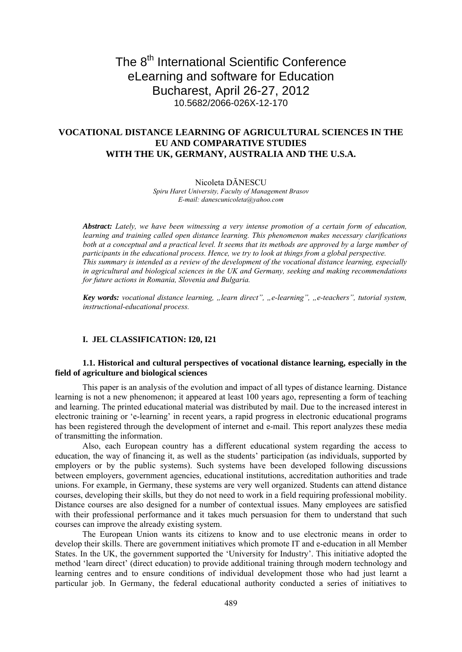# The 8<sup>th</sup> International Scientific Conference eLearning and software for Education Bucharest, April 26-27, 2012 10.5682/2066-026X-12-170

## **VOCATIONAL DISTANCE LEARNING OF AGRICULTURAL SCIENCES IN THE EU AND COMPARATIVE STUDIES WITH THE UK, GERMANY, AUSTRALIA AND THE U.S.A.**

#### Nicoleta DĂNESCU

*Spiru Haret University, Faculty of Management Brasov E-mail: danescunicoleta@yahoo.com*

*Abstract: Lately, we have been witnessing a very intense promotion of a certain form of education, learning and training called open distance learning. This phenomenon makes necessary clarifications both at a conceptual and a practical level. It seems that its methods are approved by a large number of participants in the educational process. Hence, we try to look at things from a global perspective. This summary is intended as a review of the development of the vocational distance learning, especially in agricultural and biological sciences in the UK and Germany, seeking and making recommendations for future actions in Romania, Slovenia and Bulgaria.* 

*Key words: vocational distance learning, "learn direct", "e-learning", "e-teachers", tutorial system, instructional-educational process.* 

## **I. .JEL CLASSIFICATION: I20, I21**

## **1.1. Historical and cultural perspectives of vocational distance learning, especially in the field of agriculture and biological sciences**

This paper is an analysis of the evolution and impact of all types of distance learning. Distance learning is not a new phenomenon; it appeared at least 100 years ago, representing a form of teaching and learning. The printed educational material was distributed by mail. Due to the increased interest in electronic training or 'e-learning' in recent years, a rapid progress in electronic educational programs has been registered through the development of internet and e-mail. This report analyzes these media of transmitting the information.

Also, each European country has a different educational system regarding the access to education, the way of financing it, as well as the students' participation (as individuals, supported by employers or by the public systems). Such systems have been developed following discussions between employers, government agencies, educational institutions, accreditation authorities and trade unions. For example, in Germany, these systems are very well organized. Students can attend distance courses, developing their skills, but they do not need to work in a field requiring professional mobility. Distance courses are also designed for a number of contextual issues. Many employees are satisfied with their professional performance and it takes much persuasion for them to understand that such courses can improve the already existing system.

The European Union wants its citizens to know and to use electronic means in order to develop their skills. There are government initiatives which promote IT and e-education in all Member States. In the UK, the government supported the 'University for Industry'. This initiative adopted the method 'learn direct' (direct education) to provide additional training through modern technology and learning centres and to ensure conditions of individual development those who had just learnt a particular job. In Germany, the federal educational authority conducted a series of initiatives to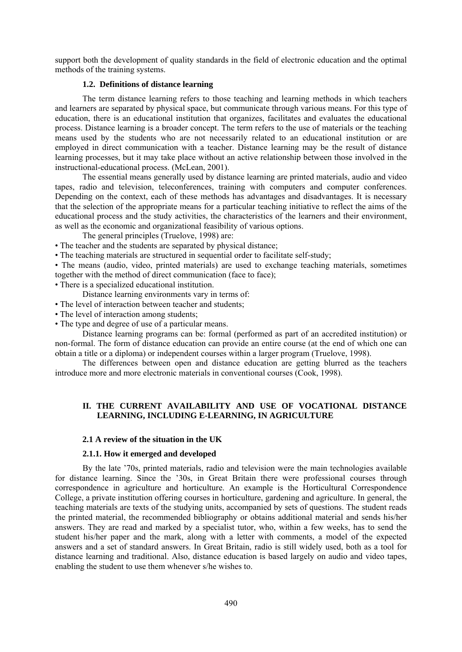support both the development of quality standards in the field of electronic education and the optimal methods of the training systems.

## **1.2. Definitions of distance learning**

The term distance learning refers to those teaching and learning methods in which teachers and learners are separated by physical space, but communicate through various means. For this type of education, there is an educational institution that organizes, facilitates and evaluates the educational process. Distance learning is a broader concept. The term refers to the use of materials or the teaching means used by the students who are not necessarily related to an educational institution or are employed in direct communication with a teacher. Distance learning may be the result of distance learning processes, but it may take place without an active relationship between those involved in the instructional-educational process. (McLean, 2001).

The essential means generally used by distance learning are printed materials, audio and video tapes, radio and television, teleconferences, training with computers and computer conferences. Depending on the context, each of these methods has advantages and disadvantages. It is necessary that the selection of the appropriate means for a particular teaching initiative to reflect the aims of the educational process and the study activities, the characteristics of the learners and their environment, as well as the economic and organizational feasibility of various options.

The general principles (Truelove, 1998) are:

- The teacher and the students are separated by physical distance;
- The teaching materials are structured in sequential order to facilitate self-study;

• The means (audio, video, printed materials) are used to exchange teaching materials, sometimes together with the method of direct communication (face to face);

- There is a specialized educational institution.
	- Distance learning environments vary in terms of:
- The level of interaction between teacher and students:
- The level of interaction among students;
- The type and degree of use of a particular means.

Distance learning programs can be: formal (performed as part of an accredited institution) or non-formal. The form of distance education can provide an entire course (at the end of which one can obtain a title or a diploma) or independent courses within a larger program (Truelove, 1998).

The differences between open and distance education are getting blurred as the teachers introduce more and more electronic materials in conventional courses (Cook, 1998).

## **II. THE CURRENT AVAILABILITY AND USE OF VOCATIONAL DISTANCE LEARNING, INCLUDING E-LEARNING, IN AGRICULTURE**

### **2.1 A review of the situation in the UK**

### **2.1.1. How it emerged and developed**

By the late '70s, printed materials, radio and television were the main technologies available for distance learning. Since the '30s, in Great Britain there were professional courses through correspondence in agriculture and horticulture. An example is the Horticultural Correspondence College, a private institution offering courses in horticulture, gardening and agriculture. In general, the teaching materials are texts of the studying units, accompanied by sets of questions. The student reads the printed material, the recommended bibliography or obtains additional material and sends his/her answers. They are read and marked by a specialist tutor, who, within a few weeks, has to send the student his/her paper and the mark, along with a letter with comments, a model of the expected answers and a set of standard answers. In Great Britain, radio is still widely used, both as a tool for distance learning and traditional. Also, distance education is based largely on audio and video tapes, enabling the student to use them whenever s/he wishes to.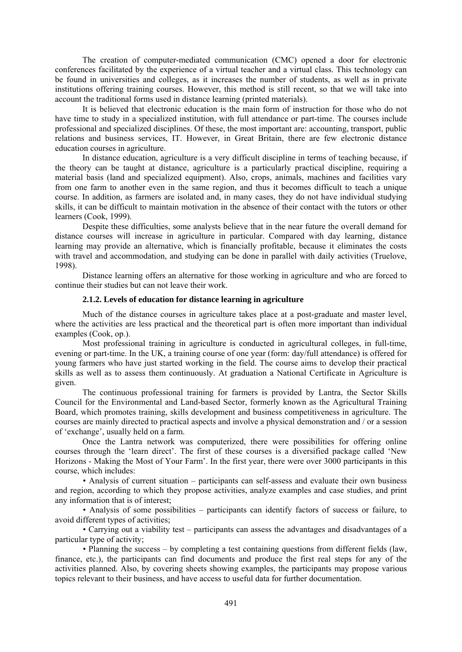The creation of computer-mediated communication (CMC) opened a door for electronic conferences facilitated by the experience of a virtual teacher and a virtual class. This technology can be found in universities and colleges, as it increases the number of students, as well as in private institutions offering training courses. However, this method is still recent, so that we will take into account the traditional forms used in distance learning (printed materials).

It is believed that electronic education is the main form of instruction for those who do not have time to study in a specialized institution, with full attendance or part-time. The courses include professional and specialized disciplines. Of these, the most important are: accounting, transport, public relations and business services, IT. However, in Great Britain, there are few electronic distance education courses in agriculture.

In distance education, agriculture is a very difficult discipline in terms of teaching because, if the theory can be taught at distance, agriculture is a particularly practical discipline, requiring a material basis (land and specialized equipment). Also, crops, animals, machines and facilities vary from one farm to another even in the same region, and thus it becomes difficult to teach a unique course. In addition, as farmers are isolated and, in many cases, they do not have individual studying skills, it can be difficult to maintain motivation in the absence of their contact with the tutors or other learners (Cook, 1999).

Despite these difficulties, some analysts believe that in the near future the overall demand for distance courses will increase in agriculture in particular. Compared with day learning, distance learning may provide an alternative, which is financially profitable, because it eliminates the costs with travel and accommodation, and studying can be done in parallel with daily activities (Truelove, 1998).

Distance learning offers an alternative for those working in agriculture and who are forced to continue their studies but can not leave their work.

#### **2.1.2. Levels of education for distance learning in agriculture**

 Much of the distance courses in agriculture takes place at a post-graduate and master level, where the activities are less practical and the theoretical part is often more important than individual examples (Cook, op.).

Most professional training in agriculture is conducted in agricultural colleges, in full-time, evening or part-time. In the UK, a training course of one year (form: day/full attendance) is offered for young farmers who have just started working in the field. The course aims to develop their practical skills as well as to assess them continuously. At graduation a National Certificate in Agriculture is given.

The continuous professional training for farmers is provided by Lantra, the Sector Skills Council for the Environmental and Land-based Sector, formerly known as the Agricultural Training Board, which promotes training, skills development and business competitiveness in agriculture. The courses are mainly directed to practical aspects and involve a physical demonstration and / or a session of 'exchange', usually held on a farm.

Once the Lantra network was computerized, there were possibilities for offering online courses through the 'learn direct'. The first of these courses is a diversified package called 'New Horizons - Making the Most of Your Farm'. In the first year, there were over 3000 participants in this course, which includes:

• Analysis of current situation – participants can self-assess and evaluate their own business and region, according to which they propose activities, analyze examples and case studies, and print any information that is of interest;

• Analysis of some possibilities – participants can identify factors of success or failure, to avoid different types of activities;

• Carrying out a viability test – participants can assess the advantages and disadvantages of a particular type of activity;

• Planning the success – by completing a test containing questions from different fields (law, finance, etc.), the participants can find documents and produce the first real steps for any of the activities planned. Also, by covering sheets showing examples, the participants may propose various topics relevant to their business, and have access to useful data for further documentation.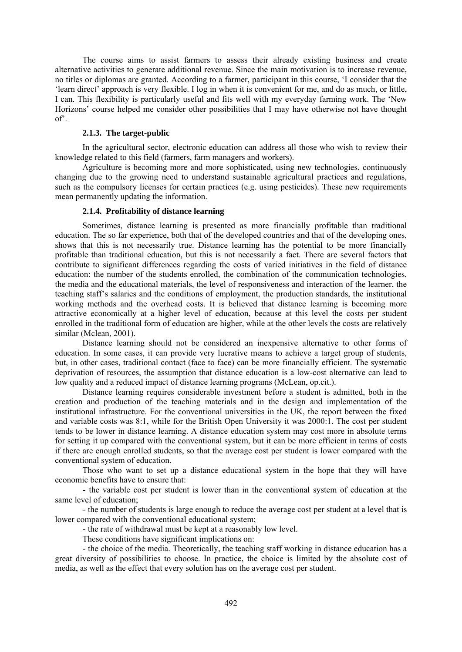The course aims to assist farmers to assess their already existing business and create alternative activities to generate additional revenue. Since the main motivation is to increase revenue, no titles or diplomas are granted. According to a farmer, participant in this course, 'I consider that the 'learn direct' approach is very flexible. I log in when it is convenient for me, and do as much, or little, I can. This flexibility is particularly useful and fits well with my everyday farming work. The 'New Horizons' course helped me consider other possibilities that I may have otherwise not have thought of'.

### 2.1.3. The target-public

In the agricultural sector, electronic education can address all those who wish to review their knowledge related to this field (farmers, farm managers and workers).

Agriculture is becoming more and more sophisticated, using new technologies, continuously changing due to the growing need to understand sustainable agricultural practices and regulations, such as the compulsory licenses for certain practices (e.g. using pesticides). These new requirements mean permanently updating the information.

## **2.1.4. Profitability of distance learning**

Sometimes, distance learning is presented as more financially profitable than traditional education. The so far experience, both that of the developed countries and that of the developing ones, shows that this is not necessarily true. Distance learning has the potential to be more financially profitable than traditional education, but this is not necessarily a fact. There are several factors that contribute to significant differences regarding the costs of varied initiatives in the field of distance education: the number of the students enrolled, the combination of the communication technologies, the media and the educational materials, the level of responsiveness and interaction of the learner, the teaching staff's salaries and the conditions of employment, the production standards, the institutional working methods and the overhead costs. It is believed that distance learning is becoming more attractive economically at a higher level of education, because at this level the costs per student enrolled in the traditional form of education are higher, while at the other levels the costs are relatively similar (Mclean, 2001).

Distance learning should not be considered an inexpensive alternative to other forms of education. In some cases, it can provide very lucrative means to achieve a target group of students, but, in other cases, traditional contact (face to face) can be more financially efficient. The systematic deprivation of resources, the assumption that distance education is a low-cost alternative can lead to low quality and a reduced impact of distance learning programs (McLean, op.cit.).

Distance learning requires considerable investment before a student is admitted, both in the creation and production of the teaching materials and in the design and implementation of the institutional infrastructure. For the conventional universities in the UK, the report between the fixed and variable costs was 8:1, while for the British Open University it was 2000:1. The cost per student tends to be lower in distance learning. A distance education system may cost more in absolute terms for setting it up compared with the conventional system, but it can be more efficient in terms of costs if there are enough enrolled students, so that the average cost per student is lower compared with the conventional system of education.

Those who want to set up a distance educational system in the hope that they will have economic benefits have to ensure that:

- the variable cost per student is lower than in the conventional system of education at the same level of education;

- the number of students is large enough to reduce the average cost per student at a level that is lower compared with the conventional educational system;

- the rate of withdrawal must be kept at a reasonably low level.

These conditions have significant implications on:

- the choice of the media. Theoretically, the teaching staff working in distance education has a great diversity of possibilities to choose. In practice, the choice is limited by the absolute cost of media, as well as the effect that every solution has on the average cost per student.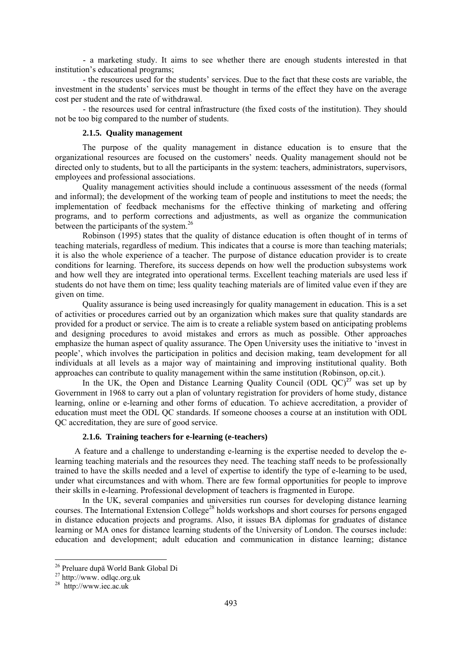- a marketing study. It aims to see whether there are enough students interested in that institution's educational programs;

- the resources used for the students' services. Due to the fact that these costs are variable, the investment in the students' services must be thought in terms of the effect they have on the average cost per student and the rate of withdrawal.

- the resources used for central infrastructure (the fixed costs of the institution). They should not be too big compared to the number of students.

## **2.1.5. Ouality management**

The purpose of the quality management in distance education is to ensure that the organizational resources are focused on the customers' needs. Quality management should not be directed only to students, but to all the participants in the system: teachers, administrators, supervisors, employees and professional associations.

Quality management activities should include a continuous assessment of the needs (formal and informal); the development of the working team of people and institutions to meet the needs; the implementation of feedback mechanisms for the effective thinking of marketing and offering programs, and to perform corrections and adjustments, as well as organize the communication between the participants of the system.<sup>26</sup>

Robinson (1995) states that the quality of distance education is often thought of in terms of teaching materials, regardless of medium. This indicates that a course is more than teaching materials; it is also the whole experience of a teacher. The purpose of distance education provider is to create conditions for learning. Therefore, its success depends on how well the production subsystems work and how well they are integrated into operational terms. Excellent teaching materials are used less if students do not have them on time; less quality teaching materials are of limited value even if they are given on time.

 Quality assurance is being used increasingly for quality management in education. This is a set of activities or procedures carried out by an organization which makes sure that quality standards are provided for a product or service. The aim is to create a reliable system based on anticipating problems and designing procedures to avoid mistakes and errors as much as possible. Other approaches emphasize the human aspect of quality assurance. The Open University uses the initiative to 'invest in people', which involves the participation in politics and decision making, team development for all individuals at all levels as a major way of maintaining and improving institutional quality. Both approaches can contribute to quality management within the same institution (Robinson, op.cit.).

In the UK, the Open and Distance Learning Quality Council (ODL  $OC)^{27}$  was set up by Government in 1968 to carry out a plan of voluntary registration for providers of home study, distance learning, online or e-learning and other forms of education. To achieve accreditation, a provider of education must meet the ODL QC standards. If someone chooses a course at an institution with ODL QC accreditation, they are sure of good service.

## **2.1.6. Training teachers for e-learning (e-teachers)**

 A feature and a challenge to understanding e-learning is the expertise needed to develop the elearning teaching materials and the resources they need. The teaching staff needs to be professionally trained to have the skills needed and a level of expertise to identify the type of e-learning to be used, under what circumstances and with whom. There are few formal opportunities for people to improve their skills in e-learning. Professional development of teachers is fragmented in Europe.

 In the UK, several companies and universities run courses for developing distance learning courses. The International Extension College<sup>28</sup> holds workshops and short courses for persons engaged in distance education projects and programs. Also, it issues BA diplomas for graduates of distance learning or MA ones for distance learning students of the University of London. The courses include: education and development; adult education and communication in distance learning; distance

<u>.</u>

<sup>&</sup>lt;sup>26</sup> Preluare după World Bank Global Di<br><sup>27</sup> http://www. odlqc.org.uk

 $28$  http://www.iec.ac.uk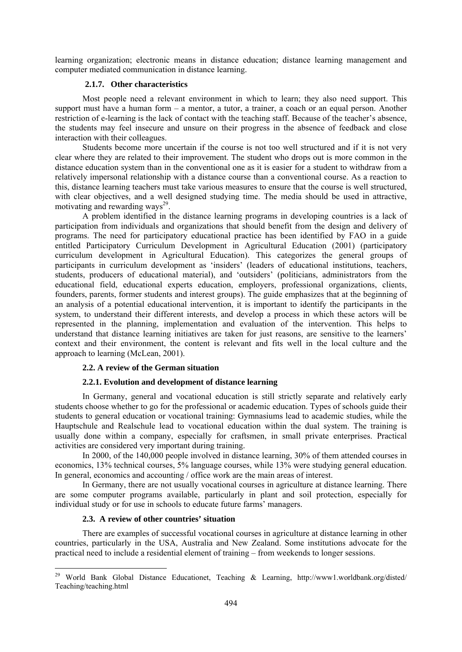learning organization; electronic means in distance education; distance learning management and computer mediated communication in distance learning.

## **2.1.7. . Other characteristics**

Most people need a relevant environment in which to learn; they also need support. This support must have a human form – a mentor, a tutor, a trainer, a coach or an equal person. Another restriction of e-learning is the lack of contact with the teaching staff. Because of the teacher's absence, the students may feel insecure and unsure on their progress in the absence of feedback and close interaction with their colleagues.

 Students become more uncertain if the course is not too well structured and if it is not very clear where they are related to their improvement. The student who drops out is more common in the distance education system than in the conventional one as it is easier for a student to withdraw from a relatively impersonal relationship with a distance course than a conventional course. As a reaction to this, distance learning teachers must take various measures to ensure that the course is well structured, with clear objectives, and a well designed studying time. The media should be used in attractive, motivating and rewarding ways<sup>29</sup>.

 A problem identified in the distance learning programs in developing countries is a lack of participation from individuals and organizations that should benefit from the design and delivery of programs. The need for participatory educational practice has been identified by FAO in a guide entitled Participatory Curriculum Development in Agricultural Education (2001) (participatory curriculum development in Agricultural Education). This categorizes the general groups of participants in curriculum development as 'insiders' (leaders of educational institutions, teachers, students, producers of educational material), and 'outsiders' (politicians, administrators from the educational field, educational experts education, employers, professional organizations, clients, founders, parents, former students and interest groups). The guide emphasizes that at the beginning of an analysis of a potential educational intervention, it is important to identify the participants in the system, to understand their different interests, and develop a process in which these actors will be represented in the planning, implementation and evaluation of the intervention. This helps to understand that distance learning initiatives are taken for just reasons, are sensitive to the learners' context and their environment, the content is relevant and fits well in the local culture and the approach to learning (McLean, 2001).

### **2.2. A review of the German situation**

### **2.2.1. Evolution and development of distance learning**

 In Germany, general and vocational education is still strictly separate and relatively early students choose whether to go for the professional or academic education. Types of schools guide their students to general education or vocational training: Gymnasiums lead to academic studies, while the Hauptschule and Realschule lead to vocational education within the dual system. The training is usually done within a company, especially for craftsmen, in small private enterprises. Practical activities are considered very important during training.

 In 2000, of the 140,000 people involved in distance learning, 30% of them attended courses in economics, 13% technical courses, 5% language courses, while 13% were studying general education. In general, economics and accounting / office work are the main areas of interest.

 In Germany, there are not usually vocational courses in agriculture at distance learning. There are some computer programs available, particularly in plant and soil protection, especially for individual study or for use in schools to educate future farms' managers.

## **2.3.** A review of other countries' situation

1

There are examples of successful vocational courses in agriculture at distance learning in other countries, particularly in the USA, Australia and New Zealand. Some institutions advocate for the practical need to include a residential element of training – from weekends to longer sessions.

<sup>&</sup>lt;sup>29</sup> World Bank Global Distance Educationet, Teaching & Learning, http://www1.worldbank.org/disted/ Teaching/teaching.html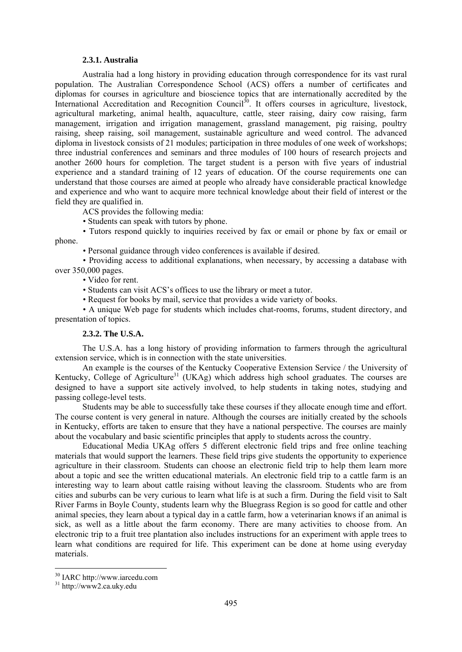#### **2.3.1. Australia**

 Australia had a long history in providing education through correspondence for its vast rural population. The Australian Correspondence School (ACS) offers a number of certificates and diplomas for courses in agriculture and bioscience topics that are internationally accredited by the International Accreditation and Recognition Council<sup>30</sup>. It offers courses in agriculture, livestock, agricultural marketing, animal health, aquaculture, cattle, steer raising, dairy cow raising, farm management, irrigation and irrigation management, grassland management, pig raising, poultry raising, sheep raising, soil management, sustainable agriculture and weed control. The advanced diploma in livestock consists of 21 modules; participation in three modules of one week of workshops; three industrial conferences and seminars and three modules of 100 hours of research projects and another 2600 hours for completion. The target student is a person with five years of industrial experience and a standard training of 12 years of education. Of the course requirements one can understand that those courses are aimed at people who already have considerable practical knowledge and experience and who want to acquire more technical knowledge about their field of interest or the field they are qualified in.

ACS provides the following media:

• Students can speak with tutors by phone.

• Tutors respond quickly to inquiries received by fax or email or phone by fax or email or phone.

• Personal guidance through video conferences is available if desired.

• Providing access to additional explanations, when necessary, by accessing a database with over 350,000 pages.

• Video for rent.

• Students can visit ACS's offices to use the library or meet a tutor.

• Request for books by mail, service that provides a wide variety of books.

• A unique Web page for students which includes chat-rooms, forums, student directory, and presentation of topics.

## **2.3.2. The U.S.A.**

The U.S.A. has a long history of providing information to farmers through the agricultural extension service, which is in connection with the state universities.

An example is the courses of the Kentucky Cooperative Extension Service / the University of Kentucky, College of Agriculture<sup>31</sup> (UKAg) which address high school graduates. The courses are designed to have a support site actively involved, to help students in taking notes, studying and passing college-level tests.

Students may be able to successfully take these courses if they allocate enough time and effort. The course content is very general in nature. Although the courses are initially created by the schools in Kentucky, efforts are taken to ensure that they have a national perspective. The courses are mainly about the vocabulary and basic scientific principles that apply to students across the country.

 Educational Media UKAg offers 5 different electronic field trips and free online teaching materials that would support the learners. These field trips give students the opportunity to experience agriculture in their classroom. Students can choose an electronic field trip to help them learn more about a topic and see the written educational materials. An electronic field trip to a cattle farm is an interesting way to learn about cattle raising without leaving the classroom. Students who are from cities and suburbs can be very curious to learn what life is at such a firm. During the field visit to Salt River Farms in Boyle County, students learn why the Bluegrass Region is so good for cattle and other animal species, they learn about a typical day in a cattle farm, how a veterinarian knows if an animal is sick, as well as a little about the farm economy. There are many activities to choose from. An electronic trip to a fruit tree plantation also includes instructions for an experiment with apple trees to learn what conditions are required for life. This experiment can be done at home using everyday materials.

1

<sup>30</sup> IARC http://www.iarcedu.com

<sup>31</sup> http://www2.ca.uky.edu